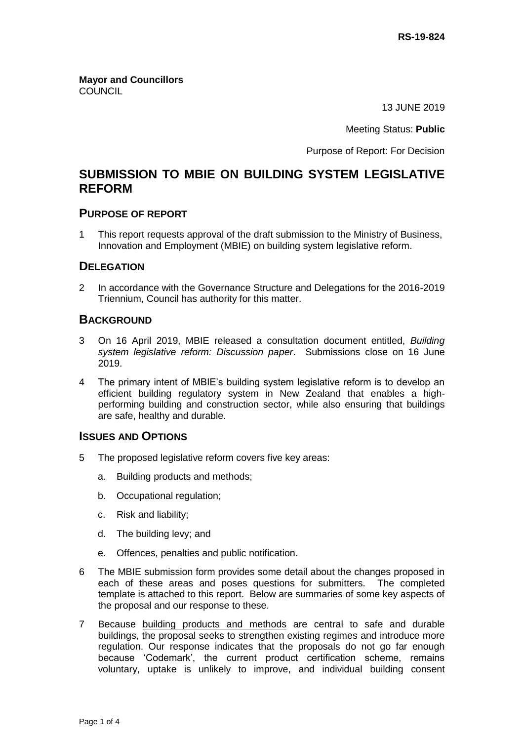**Mayor and Councillors COUNCIL** 

13 JUNE 2019

Meeting Status: **Public**

Purpose of Report: For Decision

# **SUBMISSION TO MBIE ON BUILDING SYSTEM LEGISLATIVE REFORM**

#### **PURPOSE OF REPORT**

1 This report requests approval of the draft submission to the Ministry of Business, Innovation and Employment (MBIE) on building system legislative reform.

### **DELEGATION**

2 In accordance with the Governance Structure and Delegations for the 2016-2019 Triennium, Council has authority for this matter.

#### **BACKGROUND**

- 3 On 16 April 2019, MBIE released a consultation document entitled, *Building system legislative reform: Discussion paper*. Submissions close on 16 June 2019.
- 4 The primary intent of MBIE's building system legislative reform is to develop an efficient building regulatory system in New Zealand that enables a highperforming building and construction sector, while also ensuring that buildings are safe, healthy and durable.

## **ISSUES AND OPTIONS**

- 5 The proposed legislative reform covers five key areas:
	- a. Building products and methods;
	- b. Occupational regulation;
	- c. Risk and liability;
	- d. The building levy; and
	- e. Offences, penalties and public notification.
- 6 The MBIE submission form provides some detail about the changes proposed in each of these areas and poses questions for submitters. The completed template is attached to this report. Below are summaries of some key aspects of the proposal and our response to these.
- 7 Because building products and methods are central to safe and durable buildings, the proposal seeks to strengthen existing regimes and introduce more regulation. Our response indicates that the proposals do not go far enough because 'Codemark', the current product certification scheme, remains voluntary, uptake is unlikely to improve, and individual building consent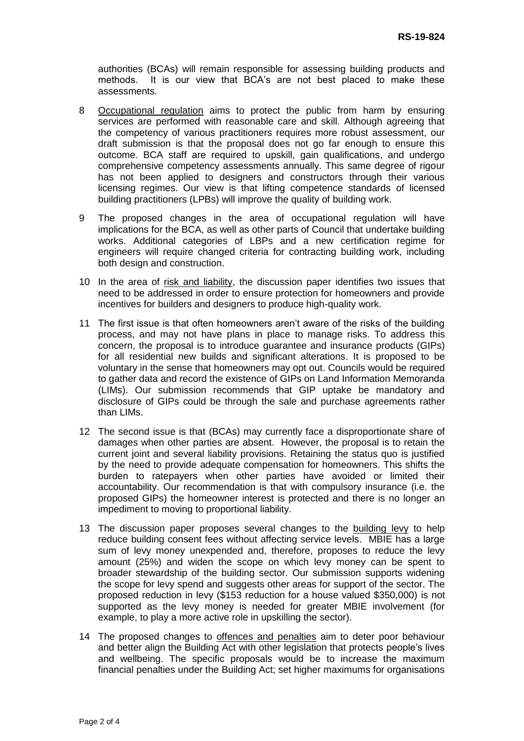authorities (BCAs) will remain responsible for assessing building products and methods. It is our view that BCA's are not best placed to make these assessments.

- 8 Occupational regulation aims to protect the public from harm by ensuring services are performed with reasonable care and skill. Although agreeing that the competency of various practitioners requires more robust assessment, our draft submission is that the proposal does not go far enough to ensure this outcome. BCA staff are required to upskill, gain qualifications, and undergo comprehensive competency assessments annually. This same degree of rigour has not been applied to designers and constructors through their various licensing regimes. Our view is that lifting competence standards of licensed building practitioners (LPBs) will improve the quality of building work.
- 9 The proposed changes in the area of occupational regulation will have implications for the BCA, as well as other parts of Council that undertake building works. Additional categories of LBPs and a new certification regime for engineers will require changed criteria for contracting building work, including both design and construction.
- 10 In the area of risk and liability, the discussion paper identifies two issues that need to be addressed in order to ensure protection for homeowners and provide incentives for builders and designers to produce high-quality work.
- 11 The first issue is that often homeowners aren't aware of the risks of the building process, and may not have plans in place to manage risks. To address this concern, the proposal is to introduce guarantee and insurance products (GIPs) for all residential new builds and significant alterations. It is proposed to be voluntary in the sense that homeowners may opt out. Councils would be required to gather data and record the existence of GIPs on Land Information Memoranda (LIMs). Our submission recommends that GIP uptake be mandatory and disclosure of GIPs could be through the sale and purchase agreements rather than LIMs.
- 12 The second issue is that (BCAs) may currently face a disproportionate share of damages when other parties are absent. However, the proposal is to retain the current joint and several liability provisions. Retaining the status quo is justified by the need to provide adequate compensation for homeowners. This shifts the burden to ratepayers when other parties have avoided or limited their accountability. Our recommendation is that with compulsory insurance (i.e. the proposed GIPs) the homeowner interest is protected and there is no longer an impediment to moving to proportional liability.
- 13 The discussion paper proposes several changes to the building levy to help reduce building consent fees without affecting service levels. MBIE has a large sum of levy money unexpended and, therefore, proposes to reduce the levy amount (25%) and widen the scope on which levy money can be spent to broader stewardship of the building sector. Our submission supports widening the scope for levy spend and suggests other areas for support of the sector. The proposed reduction in levy (\$153 reduction for a house valued \$350,000) is not supported as the levy money is needed for greater MBIE involvement (for example, to play a more active role in upskilling the sector).
- 14 The proposed changes to offences and penalties aim to deter poor behaviour and better align the Building Act with other legislation that protects people's lives and wellbeing. The specific proposals would be to increase the maximum financial penalties under the Building Act; set higher maximums for organisations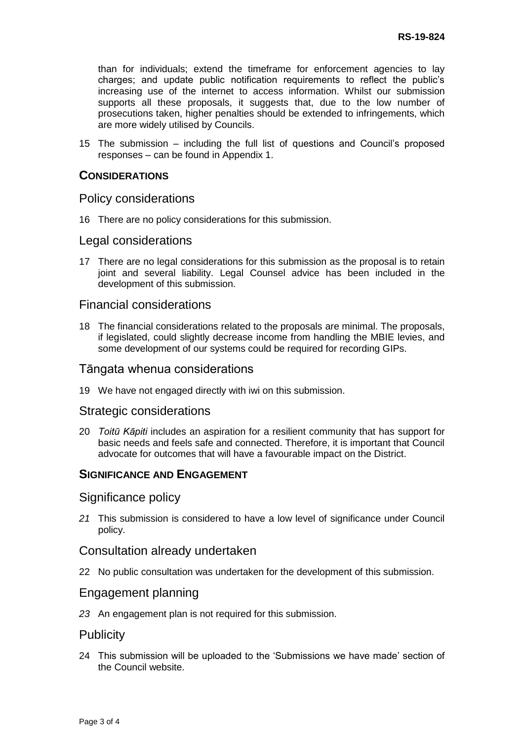than for individuals; extend the timeframe for enforcement agencies to lay charges; and update public notification requirements to reflect the public's increasing use of the internet to access information. Whilst our submission supports all these proposals, it suggests that, due to the low number of prosecutions taken, higher penalties should be extended to infringements, which are more widely utilised by Councils.

15 The submission – including the full list of questions and Council's proposed responses – can be found in Appendix 1.

#### **CONSIDERATIONS**

#### Policy considerations

16 There are no policy considerations for this submission.

#### Legal considerations

17 There are no legal considerations for this submission as the proposal is to retain joint and several liability. Legal Counsel advice has been included in the development of this submission.

#### Financial considerations

18 The financial considerations related to the proposals are minimal. The proposals, if legislated, could slightly decrease income from handling the MBIE levies, and some development of our systems could be required for recording GIPs.

#### Tāngata whenua considerations

19 We have not engaged directly with iwi on this submission.

#### Strategic considerations

20 *Toitū Kāpiti* includes an aspiration for a resilient community that has support for basic needs and feels safe and connected. Therefore, it is important that Council advocate for outcomes that will have a favourable impact on the District.

## **SIGNIFICANCE AND ENGAGEMENT**

### Significance policy

*21* This submission is considered to have a low level of significance under Council policy.

#### Consultation already undertaken

22 No public consultation was undertaken for the development of this submission.

#### Engagement planning

*23* An engagement plan is not required for this submission.

## **Publicity**

24 This submission will be uploaded to the 'Submissions we have made' section of the Council website.